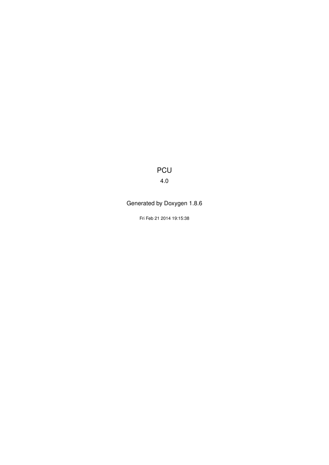PCU

4.0

Generated by Doxygen 1.8.6

Fri Feb 21 2014 19:15:38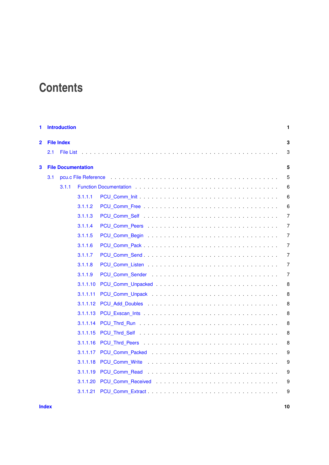## **Contents**

| 1 |     | <b>Introduction</b>  |                           |                | $\mathbf{1}$   |  |  |  |  |  |
|---|-----|----------------------|---------------------------|----------------|----------------|--|--|--|--|--|
| 2 |     | <b>File Index</b>    |                           |                | 3              |  |  |  |  |  |
|   | 2.1 | <b>File List</b>     |                           |                | 3              |  |  |  |  |  |
| 3 |     |                      | <b>File Documentation</b> |                | 5              |  |  |  |  |  |
|   | 3.1 | pcu.c File Reference |                           |                |                |  |  |  |  |  |
|   |     | 3.1.1                |                           |                | 6              |  |  |  |  |  |
|   |     |                      | 3.1.1.1                   |                | 6              |  |  |  |  |  |
|   |     |                      | 3.1.1.2                   |                | 6              |  |  |  |  |  |
|   |     |                      | 3.1.1.3                   |                | 7              |  |  |  |  |  |
|   |     |                      | 3.1.1.4                   |                | 7              |  |  |  |  |  |
|   |     |                      | 3.1.1.5                   |                | 7              |  |  |  |  |  |
|   |     |                      | 3.1.1.6                   |                | $\overline{7}$ |  |  |  |  |  |
|   |     |                      | 3.1.1.7                   |                | 7              |  |  |  |  |  |
|   |     |                      | 3.1.1.8                   |                | 7              |  |  |  |  |  |
|   |     |                      | 3.1.1.9                   |                | $\overline{7}$ |  |  |  |  |  |
|   |     |                      | 3.1.1.10                  |                | 8              |  |  |  |  |  |
|   |     |                      | 3.1.1.11                  |                | 8              |  |  |  |  |  |
|   |     |                      | 3.1.1.12                  |                | 8              |  |  |  |  |  |
|   |     |                      | 3.1.1.13                  |                | 8              |  |  |  |  |  |
|   |     |                      |                           |                | 8              |  |  |  |  |  |
|   |     |                      | 3.1.1.15                  |                | 8              |  |  |  |  |  |
|   |     |                      | 3.1.1.16                  |                | 8              |  |  |  |  |  |
|   |     |                      | 3.1.1.17                  |                | 9              |  |  |  |  |  |
|   |     |                      | 3.1.1.18                  | PCU_Comm_Write | 9              |  |  |  |  |  |
|   |     |                      | 3.1.1.19                  |                | 9              |  |  |  |  |  |
|   |     |                      | 3.1.1.20                  |                | 9              |  |  |  |  |  |
|   |     |                      | 3.1.1.21                  |                | 9              |  |  |  |  |  |

**[Index](#page-13-0) 10**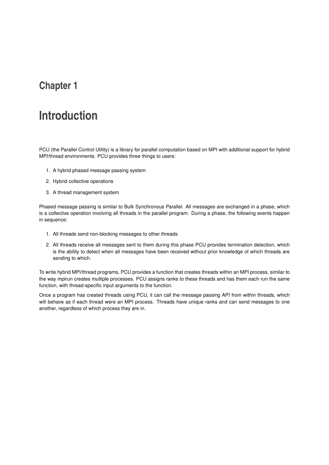### <span id="page-4-0"></span>**Chapter 1**

## **Introduction**

PCU (the Parallel Control Utility) is a library for parallel computation based on MPI with additional support for hybrid MPI/thread environments. PCU provides three things to users:

- 1. A hybrid phased message passing system
- 2. Hybrid collective operations
- 3. A thread management system

Phased message passing is similar to Bulk Synchronous Parallel. All messages are exchanged in a phase, which is a collective operation involving all threads in the parallel program. During a phase, the following events happen in sequence:

- 1. All threads send non-blocking messages to other threads
- 2. All threads receive all messages sent to them during this phase PCU provides termination detection, which is the ability to detect when all messages have been received without prior knowledge of which threads are sending to which.

To write hybrid MPI/thread programs, PCU provides a function that creates threads within an MPI process, similar to the way mpirun creates multiple processes. PCU assigns ranks to these threads and has them each run the same function, with thread-specific input arguments to the function.

Once a program has created threads using PCU, it can call the message passing API from within threads, which will behave as if each thread were an MPI process. Threads have unique ranks and can send messages to one another, regardless of which process they are in.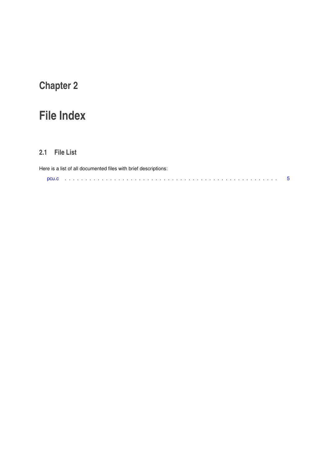# <span id="page-6-0"></span>**Chapter 2**

# **File Index**

### <span id="page-6-1"></span>**2.1 File List**

| Here is a list of all documented files with brief descriptions: |  |  |  |  |  |  |  |  |  |  |  |  |  |  |
|-----------------------------------------------------------------|--|--|--|--|--|--|--|--|--|--|--|--|--|--|
|                                                                 |  |  |  |  |  |  |  |  |  |  |  |  |  |  |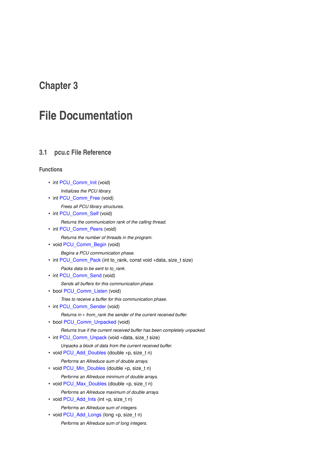### <span id="page-8-6"></span><span id="page-8-0"></span>**Chapter 3**

## **File Documentation**

#### <span id="page-8-1"></span>**3.1 pcu.c File Reference**

#### **Functions**

- int PCU Comm\_Init (void)
	- *Initializes the PCU library.*
- int PCU Comm Free (void)

*Frees all PCU library structures.*

- int [PCU\\_Comm\\_Self](#page-9-4) (void)
	- *Returns the communication rank of the calling thread.*
- int PCU Comm Peers (void)

*Returns the number of threads in the program.*

- void [PCU\\_Comm\\_Begin](#page-10-8) (void)
	- *Begins a PCU communication phase.*
- int [PCU\\_Comm\\_Pack](#page-10-9) (int to\_rank, const void ∗data, size\_t size)

*Packs data to be sent to to\_rank.*

• int PCU Comm Send (void)

*Sends all buffers for this communication phase.*

- bool [PCU\\_Comm\\_Listen](#page-10-11) (void)
	- *Tries to receive a buffer for this communication phase.*
- int PCU Comm\_Sender (void)

*Returns in* ∗ *from\_rank the sender of the current received buffer.*

• bool [PCU\\_Comm\\_Unpacked](#page-10-13) (void)

*Returns true if the current received buffer has been completely unpacked.*

- int PCU Comm\_Unpack (void ∗data, size\_t size)
	- *Unpacks a block of data from the current received buffer.*
- void [PCU\\_Add\\_Doubles](#page-11-8) (double ∗p, size\_t n)

*Performs an Allreduce sum of double arrays.*

- <span id="page-8-2"></span>• void [PCU\\_Min\\_Doubles](#page-8-2) (double ∗p, size\_t n)
- *Performs an Allreduce minimum of double arrays.*
- <span id="page-8-3"></span>• void [PCU\\_Max\\_Doubles](#page-8-3) (double ∗p, size\_t n)
	- *Performs an Allreduce maximum of double arrays.*
- <span id="page-8-4"></span>• void [PCU\\_Add\\_Ints](#page-8-4) (int ∗p, size\_t n) *Performs an Allreduce sum of integers.*
- <span id="page-8-5"></span>• void [PCU\\_Add\\_Longs](#page-8-5) (long ∗p, size\_t n)
	- *Performs an Allreduce sum of long integers.*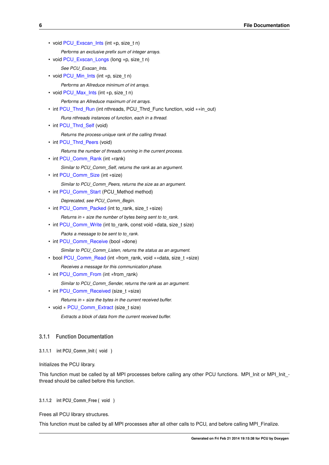<span id="page-9-13"></span>• void [PCU\\_Exscan\\_Ints](#page-11-9) (int ∗p, size\_t n)

*Performs an exclusive prefix sum of integer arrays.*

<span id="page-9-5"></span>• void [PCU\\_Exscan\\_Longs](#page-9-5) (long ∗p, size\_t n)

*See PCU\_Exscan\_Ints.*

<span id="page-9-6"></span>• void [PCU\\_Min\\_Ints](#page-9-6) (int ∗p, size\_t n)

*Performs an Allreduce minimum of int arrays.*

<span id="page-9-7"></span>• void [PCU\\_Max\\_Ints](#page-9-7) (int ∗p, size\_t n)

*Performs an Allreduce maximum of int arrays.*

• int [PCU\\_Thrd\\_Run](#page-11-10) (int nthreads, PCU\_Thrd\_Func function, void ∗∗in\_out) *Runs nthreads instances of function, each in a thread.*

• int [PCU\\_Thrd\\_Self](#page-11-11) (void)

*Returns the process-unique rank of the calling thread.*

• int [PCU\\_Thrd\\_Peers](#page-11-12) (void)

*Returns the number of threads running in the current process.*

<span id="page-9-8"></span>• int [PCU\\_Comm\\_Rank](#page-9-8) (int ∗rank)

*Similar to PCU\_Comm\_Self, returns the rank as an argument.*

- <span id="page-9-9"></span>• int [PCU\\_Comm\\_Size](#page-9-9) (int ∗size) *Similar to PCU\_Comm\_Peers, returns the size as an argument.*
- <span id="page-9-10"></span>• int PCU Comm\_Start (PCU\_Method method)

*Deprecated, see PCU\_Comm\_Begin.*

• int [PCU\\_Comm\\_Packed](#page-12-5) (int to\_rank, size\_t ∗size)

*Returns in* ∗ *size the number of bytes being sent to to\_rank.*

- int [PCU\\_Comm\\_Write](#page-12-6) (int to\_rank, const void ∗data, size\_t size) *Packs a message to be sent to to\_rank.*
- <span id="page-9-11"></span>• int [PCU\\_Comm\\_Receive](#page-9-11) (bool ∗done)

*Similar to PCU\_Comm\_Listen, returns the status as an argument.*

- bool [PCU\\_Comm\\_Read](#page-12-7) (int ∗from\_rank, void ∗∗data, size\_t ∗size) *Receives a message for this communication phase.*
- <span id="page-9-12"></span>• int PCU Comm\_From (int ∗from\_rank)

*Similar to PCU\_Comm\_Sender, returns the rank as an argument.*

- int [PCU\\_Comm\\_Received](#page-12-8) (size\_t ∗size)
	- *Returns in* ∗ *size the bytes in the current received buffer.*
- void \* [PCU\\_Comm\\_Extract](#page-12-9) (size\_t size) *Extracts a block of data from the current received buffer.*

#### <span id="page-9-0"></span>**3.1.1 Function Documentation**

<span id="page-9-1"></span>**3.1.1.1 int PCU\_Comm\_Init ( void )**

#### Initializes the PCU library.

<span id="page-9-3"></span>This function must be called by all MPI processes before calling any other PCU functions. MPI\_Init or MPI\_Init thread should be called before this function.

<span id="page-9-2"></span>**3.1.1.2 int PCU\_Comm\_Free ( void )**

Frees all PCU library structures.

<span id="page-9-4"></span>This function must be called by all MPI processes after all other calls to PCU, and before calling MPI\_Finalize.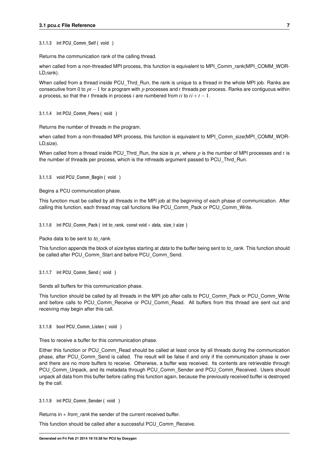<span id="page-10-14"></span><span id="page-10-0"></span>**3.1.1.3 int PCU\_Comm\_Self ( void )**

Returns the communication rank of the calling thread.

when called from a non-threaded MPI process, this function is equivalent to MPI\_Comm\_rank(MPI\_COMM\_WOR-LD,rank).

When called from a thread inside PCU\_Thrd\_Run, the rank is unique to a thread in the whole MPI job. Ranks are consecutive from 0 to *pt* −1 for a program with *p* processes and *t* threads per process. Ranks are contiguous within a process, so that the *t* threads in process *i* are numbered from *ti* to  $ti + t - 1$ .

<span id="page-10-7"></span><span id="page-10-1"></span>**3.1.1.4 int PCU\_Comm\_Peers ( void )**

Returns the number of threads in the program.

when called from a non-threaded MPI process, this function is equivalent to MPI\_Comm\_size(MPI\_COMM\_WOR-LD,size).

<span id="page-10-8"></span>When called from a thread inside PCU. Thrd. Run, the size is *pt*, where *p* is the number of MPI processes and *t* is the number of threads per process, which is the nthreads argument passed to PCU\_Thrd\_Run.

<span id="page-10-2"></span>**3.1.1.5 void PCU\_Comm\_Begin ( void )**

Begins a PCU communication phase.

<span id="page-10-9"></span>This function must be called by all threads in the MPI job at the beginning of each phase of communication. After calling this function, each thread may call functions like PCU\_Comm\_Pack or PCU\_Comm\_Write.

<span id="page-10-3"></span>**3.1.1.6 int PCU\_Comm\_Pack ( int** *to\_rank,* **const void** ∗ *data,* **size\_t** *size* **)**

Packs data to be sent to *to\_rank*.

<span id="page-10-10"></span>This function appends the block of *size* bytes starting at *data* to the buffer being sent to *to\_rank*. This function should be called after PCU\_Comm\_Start and before PCU\_Comm\_Send.

<span id="page-10-4"></span>**3.1.1.7 int PCU\_Comm\_Send ( void )**

Sends all buffers for this communication phase.

This function should be called by all threads in the MPI job after calls to PCU\_Comm\_Pack or PCU\_Comm\_Write and before calls to PCU\_Comm\_Receive or PCU\_Comm\_Read. All buffers from this thread are sent out and receiving may begin after this call.

<span id="page-10-11"></span><span id="page-10-5"></span>**3.1.1.8 bool PCU\_Comm\_Listen ( void )**

Tries to receive a buffer for this communication phase.

Either this function or PCU\_Comm\_Read should be called at least once by all threads during the communication phase, after PCU\_Comm\_Send is called. The result will be false if and only if the communication phase is over and there are no more buffers to receive. Otherwise, a buffer was received. Its contents are retrievable through PCU\_Comm\_Unpack, and its metadata through PCU\_Comm\_Sender and PCU\_Comm\_Received. Users should unpack all data from this buffer before calling this function again, because the previously received buffer is destroyed by the call.

<span id="page-10-12"></span><span id="page-10-6"></span>**3.1.1.9 int PCU\_Comm\_Sender ( void )**

Returns in ∗ *from\_rank* the sender of the current received buffer.

<span id="page-10-13"></span>This function should be called after a successful PCU\_Comm\_Receive.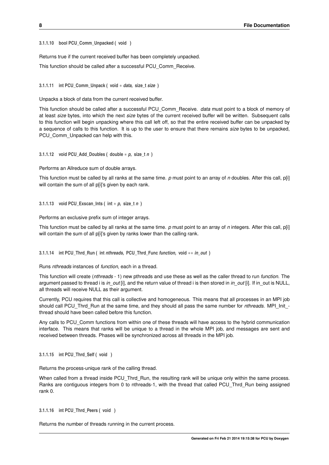<span id="page-11-13"></span><span id="page-11-0"></span>**3.1.1.10 bool PCU\_Comm\_Unpacked ( void )**

Returns true if the current received buffer has been completely unpacked.

<span id="page-11-7"></span>This function should be called after a successful PCU\_Comm\_Receive.

<span id="page-11-1"></span>**3.1.1.11 int PCU\_Comm\_Unpack ( void** ∗ *data,* **size\_t** *size* **)**

Unpacks a block of data from the current received buffer.

This function should be called after a successful PCU\_Comm\_Receive. *data* must point to a block of memory of at least *size* bytes, into which the next *size* bytes of the current received buffer will be written. Subsequent calls to this function will begin unpacking where this call left off, so that the entire received buffer can be unpacked by a sequence of calls to this function. It is up to the user to ensure that there remains *size* bytes to be unpacked, PCU Comm\_Unpacked can help with this.

<span id="page-11-8"></span><span id="page-11-2"></span>**3.1.1.12 void PCU\_Add\_Doubles ( double** ∗ *p,* **size\_t** *n* **)**

Performs an Allreduce sum of double arrays.

<span id="page-11-9"></span>This function must be called by all ranks at the same time. *p* must point to an array of *n* doubles. After this call, p[i] will contain the sum of all p[i]'s given by each rank.

<span id="page-11-3"></span>**3.1.1.13 void PCU\_Exscan\_Ints ( int** ∗ *p,* **size\_t** *n* **)**

Performs an exclusive prefix sum of integer arrays.

<span id="page-11-10"></span>This function must be called by all ranks at the same time. *p* must point to an array of *n* integers. After this call, p[i] will contain the sum of all p[i]'s given by ranks lower than the calling rank.

<span id="page-11-4"></span>**3.1.1.14 int PCU\_Thrd\_Run ( int** *nthreads,* **PCU\_Thrd\_Func** *function,* **void** ∗∗ *in\_out* **)**

Runs *nthreads* instances of *function*, each in a thread.

This function will create (*nthreads* - 1) new pthreads and use these as well as the caller thread to run *function*. The argument passed to thread i is *in\_out* [i], and the return value of thread i is then stored in *in\_out* [i]. If in\_out is NULL, all threads will receive NULL as their argument.

Currently, PCU requires that this call is collective and homogeneous. This means that all processes in an MPI job should call PCU\_Thrd\_Run at the same time, and they should all pass the same number for *nthreads*. MPI\_Init\_ thread should have been called before this function.

Any calls to PCU Comm functions from within one of these threads will have access to the hybrid communication interface. This means that ranks will be unique to a thread in the whole MPI job, and messages are sent and received between threads. Phases will be synchronized across all threads in the MPI job.

<span id="page-11-11"></span><span id="page-11-5"></span>**3.1.1.15 int PCU\_Thrd\_Self ( void )**

Returns the process-unique rank of the calling thread.

When called from a thread inside PCU. Thrd. Run, the resulting rank will be unique only within the same process. Ranks are contiguous integers from 0 to nthreads-1, with the thread that called PCU. Thrd. Run being assigned rank 0.

```
3.1.1.16 int PCU_Thrd_Peers ( void )
```
Returns the number of threads running in the current process.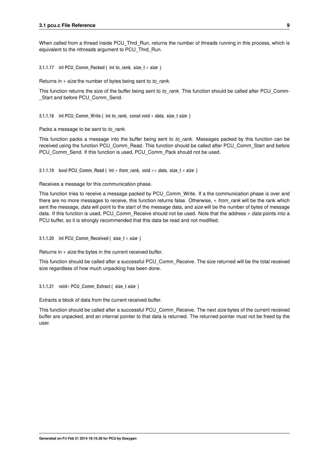<span id="page-12-10"></span><span id="page-12-5"></span>When called from a thread inside PCU\_Thrd\_Run, returns the number of threads running in this process, which is equivalent to the nthreads argument to PCU\_Thrd\_Run.

<span id="page-12-0"></span>**3.1.1.17 int PCU\_Comm\_Packed ( int** *to\_rank,* **size\_t** ∗ *size* **)**

Returns in ∗ *size* the number of bytes being sent to *to\_rank*.

<span id="page-12-6"></span>This function returns the size of the buffer being sent to *to\_rank*. This function should be called after PCU\_Comm-Start and before PCU Comm Send.

<span id="page-12-1"></span>**3.1.1.18 int PCU\_Comm\_Write ( int** *to\_rank,* **const void** ∗ *data,* **size\_t** *size* **)**

Packs a message to be sent to *to\_rank*.

This function packs a message into the buffer being sent to *to\_rank*. Messages packed by this function can be received using the function PCU\_Comm\_Read. This function should be called after PCU\_Comm\_Start and before PCU\_Comm\_Send. If this function is used, PCU\_Comm\_Pack should not be used.

<span id="page-12-7"></span><span id="page-12-2"></span>**3.1.1.19 bool PCU\_Comm\_Read ( int** ∗ *from\_rank,* **void** ∗∗ *data,* **size\_t** ∗ *size* **)**

Receives a message for this communication phase.

This function tries to receive a message packed by PCU\_Comm\_Write. If a the communication phase is over and there are no more messages to receive, this function returns false. Otherwise, ∗ *from\_rank* will be the rank which sent the message, *data* will point to the start of the message data, and *size* will be the number of bytes of message data. If this function is used, PCU\_Comm\_Receive should not be used. Note that the address ∗ *data* points into a PCU buffer, so it is strongly recommended that this data be read and not modified.

<span id="page-12-8"></span><span id="page-12-3"></span>**3.1.1.20 int PCU\_Comm\_Received ( size\_t** ∗ *size* **)**

Returns in ∗ *size* the bytes in the current received buffer.

<span id="page-12-9"></span>This function should be called after a successful PCU\_Comm\_Receive. The size returned will be the total received size regardless of how much unpacking has been done.

<span id="page-12-4"></span>**3.1.1.21 void**∗ **PCU\_Comm\_Extract ( size\_t** *size* **)**

Extracts a block of data from the current received buffer.

This function should be called after a successful PCU\_Comm\_Receive. The next *size* bytes of the current received buffer are unpacked, and an internal pointer to that data is returned. The returned pointer must not be freed by the user.